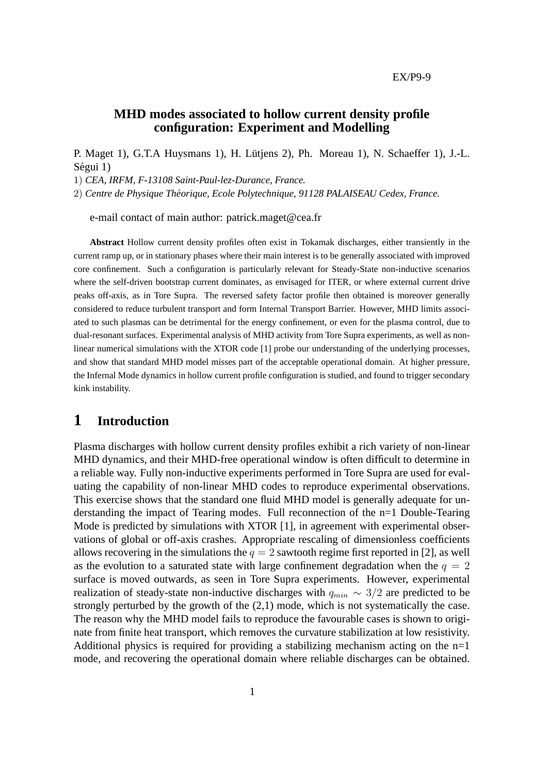EX/P9-9

#### **MHD modes associated to hollow current density profile configuration: Experiment and Modelling**

P. Maget 1), G.T.A Huysmans 1), H. Lütjens 2), Ph. Moreau 1), N. Schaeffer 1), J.-L. Ségui 1)

1) *CEA, IRFM, F-13108 Saint-Paul-lez-Durance, France.*

2) *Centre de Physique Theorique, Ecole Polytechnique, 91128 PALAISEAU Cedex, France. ´*

e-mail contact of main author: patrick.maget@cea.fr

**Abstract** Hollow current density profiles often exist in Tokamak discharges, either transiently in the current ramp up, or in stationary phases where their main interest is to be generally associated with improved core confinement. Such a configuration is particularly relevant for Steady-State non-inductive scenarios where the self-driven bootstrap current dominates, as envisaged for ITER, or where external current drive peaks off-axis, as in Tore Supra. The reversed safety factor profile then obtained is moreover generally considered to reduce turbulent transport and form Internal Transport Barrier. However, MHD limits associated to such plasmas can be detrimental for the energy confinement, or even for the plasma control, due to dual-resonant surfaces. Experimental analysis of MHD activity from Tore Supra experiments, as well as nonlinear numerical simulations with the XTOR code [1] probe our understanding of the underlying processes, and show that standard MHD model misses part of the acceptable operational domain. At higher pressure, the Infernal Mode dynamics in hollow current profile configuration is studied, and found to trigger secondary kink instability.

### **1 Introduction**

Plasma discharges with hollow current density profiles exhibit a rich variety of non-linear MHD dynamics, and their MHD-free operational window is often difficult to determine in a reliable way. Fully non-inductive experiments performed in Tore Supra are used for evaluating the capability of non-linear MHD codes to reproduce experimental observations. This exercise shows that the standard one fluid MHD model is generally adequate for understanding the impact of Tearing modes. Full reconnection of the n=1 Double-Tearing Mode is predicted by simulations with XTOR [1], in agreement with experimental observations of global or off-axis crashes. Appropriate rescaling of dimensionless coefficients allows recovering in the simulations the  $q = 2$  sawtooth regime first reported in [2], as well as the evolution to a saturated state with large confinement degradation when the  $q = 2$ surface is moved outwards, as seen in Tore Supra experiments. However, experimental realization of steady-state non-inductive discharges with  $q_{min} \sim 3/2$  are predicted to be strongly perturbed by the growth of the (2,1) mode, which is not systematically the case. The reason why the MHD model fails to reproduce the favourable cases is shown to originate from finite heat transport, which removes the curvature stabilization at low resistivity. Additional physics is required for providing a stabilizing mechanism acting on the  $n=1$ mode, and recovering the operational domain where reliable discharges can be obtained.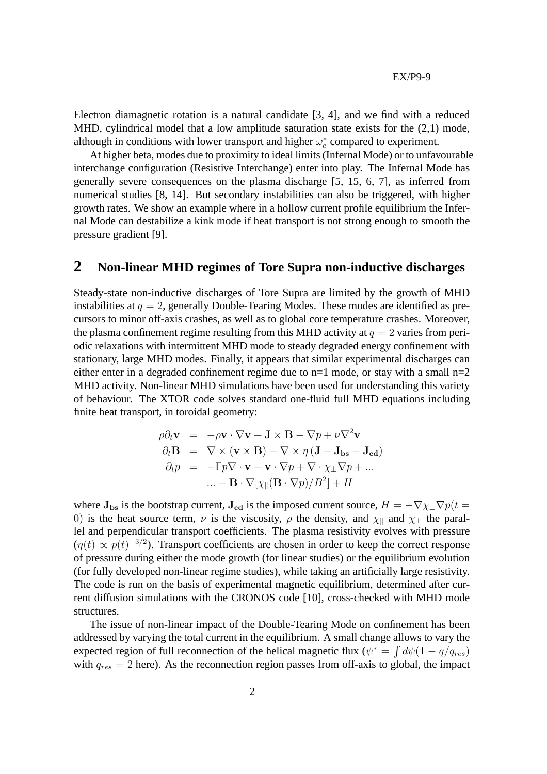Electron diamagnetic rotation is a natural candidate [3, 4], and we find with a reduced MHD, cylindrical model that a low amplitude saturation state exists for the (2,1) mode, although in conditions with lower transport and higher  $\omega_e^*$  compared to experiment.

At higher beta, modes due to proximity to ideal limits (Infernal Mode) or to unfavourable interchange configuration (Resistive Interchange) enter into play. The Infernal Mode has generally severe consequences on the plasma discharge [5, 15, 6, 7], as inferred from numerical studies [8, 14]. But secondary instabilities can also be triggered, with higher growth rates. We show an example where in a hollow current profile equilibrium the Infernal Mode can destabilize a kink mode if heat transport is not strong enough to smooth the pressure gradient [9].

#### **2 Non-linear MHD regimes of Tore Supra non-inductive discharges**

Steady-state non-inductive discharges of Tore Supra are limited by the growth of MHD instabilities at  $q = 2$ , generally Double-Tearing Modes. These modes are identified as precursors to minor off-axis crashes, as well as to global core temperature crashes. Moreover, the plasma confinement regime resulting from this MHD activity at  $q = 2$  varies from periodic relaxations with intermittent MHD mode to steady degraded energy confinement with stationary, large MHD modes. Finally, it appears that similar experimental discharges can either enter in a degraded confinement regime due to  $n=1$  mode, or stay with a small  $n=2$ MHD activity. Non-linear MHD simulations have been used for understanding this variety of behaviour. The XTOR code solves standard one-fluid full MHD equations including finite heat transport, in toroidal geometry:

$$
\rho \partial_t \mathbf{v} = -\rho \mathbf{v} \cdot \nabla \mathbf{v} + \mathbf{J} \times \mathbf{B} - \nabla p + \nu \nabla^2 \mathbf{v}
$$
  
\n
$$
\partial_t \mathbf{B} = \nabla \times (\mathbf{v} \times \mathbf{B}) - \nabla \times \eta (\mathbf{J} - \mathbf{J}_{\text{bs}} - \mathbf{J}_{\text{cd}})
$$
  
\n
$$
\partial_t p = -\Gamma p \nabla \cdot \mathbf{v} - \mathbf{v} \cdot \nabla p + \nabla \cdot \chi_{\perp} \nabla p + ...
$$
  
\n
$$
... + \mathbf{B} \cdot \nabla [\chi_{\parallel} (\mathbf{B} \cdot \nabla p) / B^2] + H
$$

where  $J_{bs}$  is the bootstrap current,  $J_{cd}$  is the imposed current source,  $H = -\nabla \chi_{\perp} \nabla p(t =$ 0) is the heat source term,  $\nu$  is the viscosity,  $\rho$  the density, and  $\chi_{\parallel}$  and  $\chi_{\perp}$  the parallel and perpendicular transport coefficients. The plasma resistivity evolves with pressure  $(\eta(t) \propto p(t)^{-3/2})$ . Transport coefficients are chosen in order to keep the correct response of pressure during either the mode growth (for linear studies) or the equilibrium evolution (for fully developed non-linear regime studies), while taking an artificially large resistivity. The code is run on the basis of experimental magnetic equilibrium, determined after current diffusion simulations with the CRONOS code [10], cross-checked with MHD mode structures.

The issue of non-linear impact of the Double-Tearing Mode on confinement has been addressed by varying the total current in the equilibrium. A small change allows to vary the expected region of full reconnection of the helical magnetic flux ( $\psi^* = \int d\psi (1 - q/q_{res})$ with  $q_{res} = 2$  here). As the reconnection region passes from off-axis to global, the impact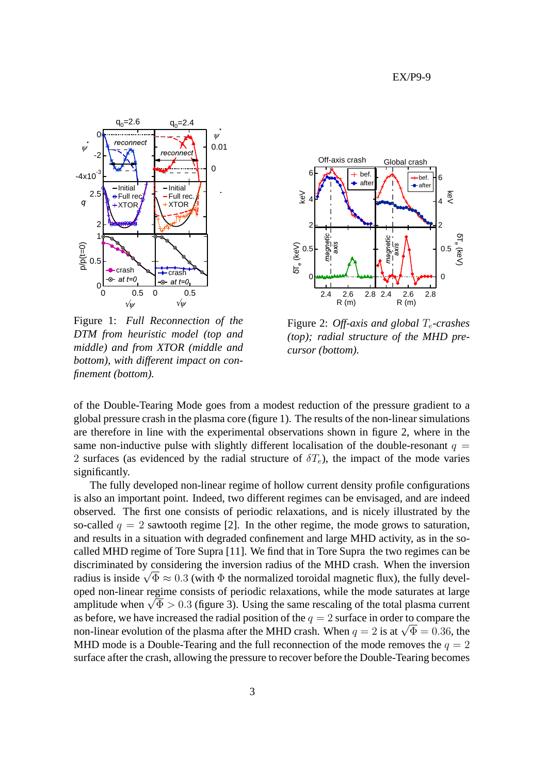

Figure 1: *Full Reconnection of the DTM from heuristic model (top and middle) and from XTOR (middle and bottom), with different impact on confinement (bottom).*



Figure 2: *Off-axis and global*  $T_e$ -crashes *(top); radial structure of the MHD precursor (bottom).*

of the Double-Tearing Mode goes from a modest reduction of the pressure gradient to a global pressure crash in the plasma core (figure 1). The results of the non-linear simulations are therefore in line with the experimental observations shown in figure 2, where in the same non-inductive pulse with slightly different localisation of the double-resonant  $q =$ 2 surfaces (as evidenced by the radial structure of  $\delta T_e$ ), the impact of the mode varies significantly.

The fully developed non-linear regime of hollow current density profile configurations is also an important point. Indeed, two different regimes can be envisaged, and are indeed observed. The first one consists of periodic relaxations, and is nicely illustrated by the so-called  $q = 2$  sawtooth regime [2]. In the other regime, the mode grows to saturation, and results in a situation with degraded confinement and large MHD activity, as in the socalled MHD regime of Tore Supra [11]. We find that in Tore Supra the two regimes can be discriminated by considering the inversion radius of the MHD crash. When the inversion radius is inside  $\sqrt{\Phi} \approx 0.3$  (with  $\Phi$  the normalized toroidal magnetic flux), the fully developed non-linear regime consists of periodic relaxations, while the mode saturates at large amplitude when  $\sqrt{\Phi} > 0.3$  (figure 3). Using the same rescaling of the total plasma current as before, we have increased the radial position of the  $q = 2$  surface in order to compare the non-linear evolution of the plasma after the MHD crash. When  $q = 2$  is at  $\sqrt{\Phi} = 0.36$ , the MHD mode is a Double-Tearing and the full reconnection of the mode removes the  $q = 2$ surface after the crash, allowing the pressure to recover before the Double-Tearing becomes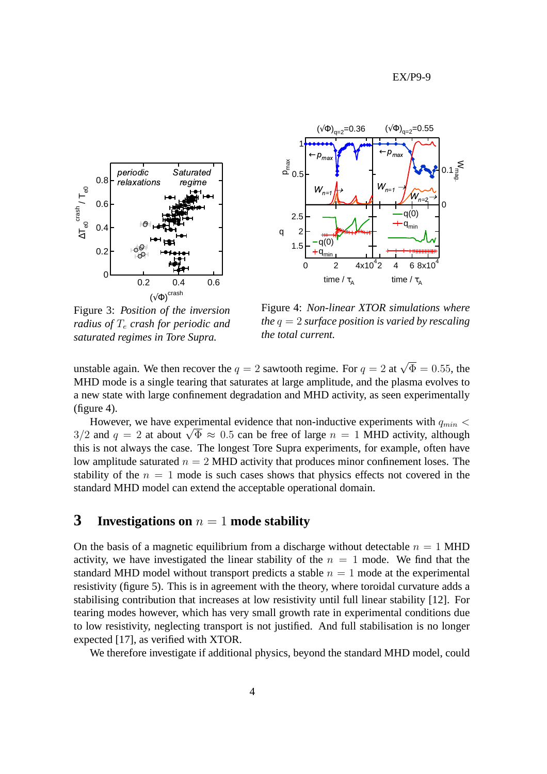



Figure 3: *Position of the inversion radius of*  $T_e$  *crash for periodic and saturated regimes in Tore Supra.*

Figure 4: *Non-linear XTOR simulations where the* q = 2 *surface position is varied by rescaling the total current.*

unstable again. We then recover the  $q = 2$  sawtooth regime. For  $q = 2$  at  $\sqrt{\Phi} = 0.55$ , the MHD mode is a single tearing that saturates at large amplitude, and the plasma evolves to a new state with large confinement degradation and MHD activity, as seen experimentally  $(figure 4)$ .

However, we have experimental evidence that non-inductive experiments with  $q_{min}$  < 3/2 and  $q = 2$  at about  $\sqrt{\Phi} \approx 0.5$  can be free of large  $n = 1$  MHD activity, although this is not always the case. The longest Tore Supra experiments, for example, often have low amplitude saturated  $n = 2$  MHD activity that produces minor confinement loses. The stability of the  $n = 1$  mode is such cases shows that physics effects not covered in the standard MHD model can extend the acceptable operational domain.

## **3 Investigations on**  $n = 1$  **mode stability**

On the basis of a magnetic equilibrium from a discharge without detectable  $n = 1$  MHD activity, we have investigated the linear stability of the  $n = 1$  mode. We find that the standard MHD model without transport predicts a stable  $n = 1$  mode at the experimental resistivity (figure 5). This is in agreement with the theory, where toroidal curvature adds a stabilising contribution that increases at low resistivity until full linear stability [12]. For tearing modes however, which has very small growth rate in experimental conditions due to low resistivity, neglecting transport is not justified. And full stabilisation is no longer expected [17], as verified with XTOR.

We therefore investigate if additional physics, beyond the standard MHD model, could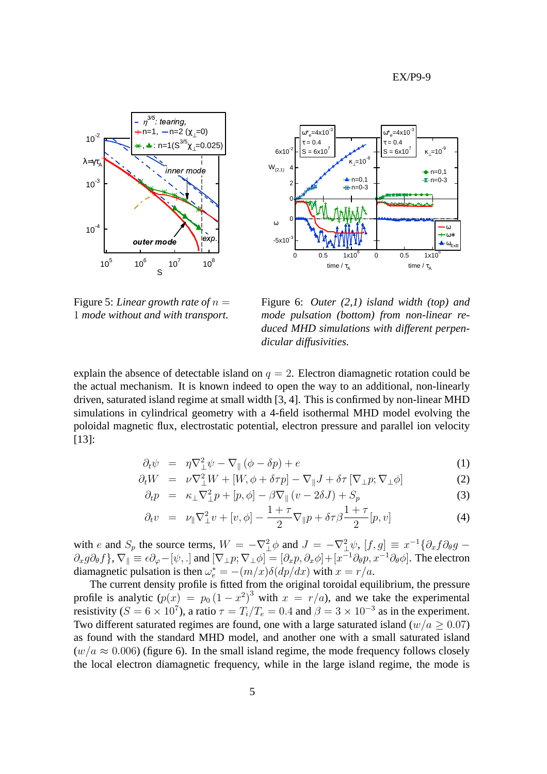EX/P9-9





Figure 5: *Linear growth rate of* n = 1 *mode without and with transport.*

Figure 6: *Outer (2,1) island width (top) and mode pulsation (bottom) from non-linear reduced MHD simulations with different perpendicular diffusivities.*

explain the absence of detectable island on  $q = 2$ . Electron diamagnetic rotation could be the actual mechanism. It is known indeed to open the way to an additional, non-linearly driven, saturated island regime at small width [3, 4]. This is confirmed by non-linear MHD simulations in cylindrical geometry with a 4-field isothermal MHD model evolving the poloidal magnetic flux, electrostatic potential, electron pressure and parallel ion velocity [13]:

$$
\partial_t \psi = \eta \nabla^2_{\perp} \psi - \nabla_{\parallel} (\phi - \delta p) + e \tag{1}
$$

$$
\partial_t W = \nu \nabla^2_{\perp} W + [W, \phi + \delta \tau p] - \nabla_{\parallel} J + \delta \tau \left[ \nabla_{\perp} p; \nabla_{\perp} \phi \right] \tag{2}
$$

$$
\partial_t p = \kappa_\perp \nabla_\perp^2 p + [p, \phi] - \beta \nabla_\parallel (v - 2\delta J) + S_p \tag{3}
$$

$$
\partial_t v = \nu_{\parallel} \nabla_{\perp}^2 v + [v, \phi] - \frac{1+\tau}{2} \nabla_{\parallel} p + \delta \tau \beta \frac{1+\tau}{2} [p, v] \tag{4}
$$

with e and  $S_p$  the source terms,  $W = -\nabla^2 \phi$  and  $J = -\nabla^2 \psi$ ,  $[f, g] \equiv x^{-1} \{\partial_x f \partial_\theta g \partial_x g \partial_\theta f$ ,  $\nabla_{\parallel} \equiv \epsilon \partial_\varphi - [\psi, .]$  and  $[\nabla_\perp p; \nabla_\perp \phi] = [\partial_x p, \partial_x \phi] + [x^{-1} \partial_\theta p, x^{-1} \partial_\theta \phi]$ . The electron diamagnetic pulsation is then  $\omega_e^* = -(m/x)\delta(dp/dx)$  with  $x = r/a$ .

The current density profile is fitted from the original toroidal equilibrium, the pressure profile is analytic  $(p(x)) = p_0 (1 - x^2)^3$  with  $x = r/a$ , and we take the experimental resistivity ( $S = 6 \times 10^7$ ), a ratio  $\tau = T_i/T_e = 0.4$  and  $\beta = 3 \times 10^{-3}$  as in the experiment. Two different saturated regimes are found, one with a large saturated island ( $w/a > 0.07$ ) as found with the standard MHD model, and another one with a small saturated island  $(w/a \approx 0.006)$  (figure 6). In the small island regime, the mode frequency follows closely the local electron diamagnetic frequency, while in the large island regime, the mode is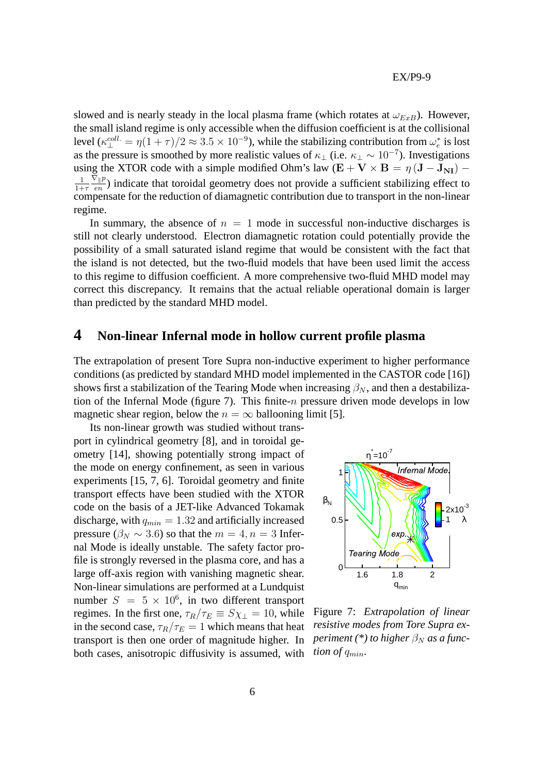slowed and is nearly steady in the local plasma frame (which rotates at  $\omega_{ExB}$ ). However, the small island regime is only accessible when the diffusion coefficient is at the collisional level  $(\kappa_{\perp}^{coll.} = \eta (1 + \tau) / 2 \approx 3.5 \times 10^{-9})$ , while the stabilizing contribution from  $\omega_e^*$  is lost as the pressure is smoothed by more realistic values of  $\kappa_{\perp}$  (i.e.  $\kappa_{\perp} \sim 10^{-7}$ ). Investigations using the XTOR code with a simple modified Ohm's law (E + V × B =  $\eta$  (J – J<sub>NI</sub>) – 1  $\overline{1+\tau}$  $\nabla_{\parallel}p$  $\frac{\mathcal{L} \parallel p}{en}$ ) indicate that toroidal geometry does not provide a sufficient stabilizing effect to compensate for the reduction of diamagnetic contribution due to transport in the non-linear regime.

In summary, the absence of  $n = 1$  mode in successful non-inductive discharges is still not clearly understood. Electron diamagnetic rotation could potentially provide the possibility of a small saturated island regime that would be consistent with the fact that the island is not detected, but the two-fluid models that have been used limit the access to this regime to diffusion coefficient. A more comprehensive two-fluid MHD model may correct this discrepancy. It remains that the actual reliable operational domain is larger than predicted by the standard MHD model.

### **4 Non-linear Infernal mode in hollow current profile plasma**

The extrapolation of present Tore Supra non-inductive experiment to higher performance conditions (as predicted by standard MHD model implemented in the CASTOR code [16]) shows first a stabilization of the Tearing Mode when increasing  $\beta_N$ , and then a destabilization of the Infernal Mode (figure 7). This finite-*n* pressure driven mode develops in low magnetic shear region, below the  $n = \infty$  ballooning limit [5].

Its non-linear growth was studied without transport in cylindrical geometry [8], and in toroidal geometry [14], showing potentially strong impact of the mode on energy confinement, as seen in various experiments [15, 7, 6]. Toroidal geometry and finite transport effects have been studied with the XTOR code on the basis of a JET-like Advanced Tokamak discharge, with  $q_{min} = 1.32$  and artificially increased pressure ( $\beta_N \sim 3.6$ ) so that the  $m = 4, n = 3$  Infernal Mode is ideally unstable. The safety factor profile is strongly reversed in the plasma core, and has a large off-axis region with vanishing magnetic shear. Non-linear simulations are performed at a Lundquist number  $S = 5 \times 10^6$ , in two different transport regimes. In the first one,  $\tau_R/\tau_E \equiv S\chi_{\perp} = 10$ , while in the second case,  $\tau_R/\tau_E = 1$  which means that heat transport is then one order of magnitude higher. In both cases, anisotropic diffusivity is assumed, with



Figure 7: *Extrapolation of linear resistive modes from Tore Supra experiment* (\*) to higher  $\beta_N$  *as a function of*  $q_{min}$ .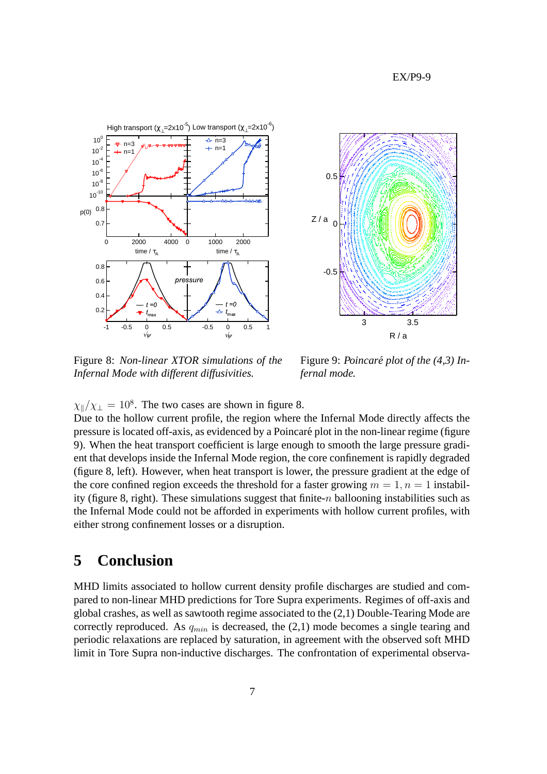EX/P9-9





Figure 8: *Non-linear XTOR simulations of the Infernal Mode with different diffusivities.*

Figure 9: *Poincare plot of the (4,3) In- ´ fernal mode.*

 $\chi_{\parallel}/\chi_{\perp} = 10^8$ . The two cases are shown in figure 8.

Due to the hollow current profile, the region where the Infernal Mode directly affects the pressure is located off-axis, as evidenced by a Poincare plot in the non-linear regime (figure ´ 9). When the heat transport coefficient is large enough to smooth the large pressure gradient that develops inside the Infernal Mode region, the core confinement is rapidly degraded (figure 8, left). However, when heat transport is lower, the pressure gradient at the edge of the core confined region exceeds the threshold for a faster growing  $m = 1, n = 1$  instability (figure 8, right). These simulations suggest that finite- $n$  ballooning instabilities such as the Infernal Mode could not be afforded in experiments with hollow current profiles, with either strong confinement losses or a disruption.

# **5 Conclusion**

MHD limits associated to hollow current density profile discharges are studied and compared to non-linear MHD predictions for Tore Supra experiments. Regimes of off-axis and global crashes, as well as sawtooth regime associated to the (2,1) Double-Tearing Mode are correctly reproduced. As  $q_{min}$  is decreased, the (2,1) mode becomes a single tearing and periodic relaxations are replaced by saturation, in agreement with the observed soft MHD limit in Tore Supra non-inductive discharges. The confrontation of experimental observa